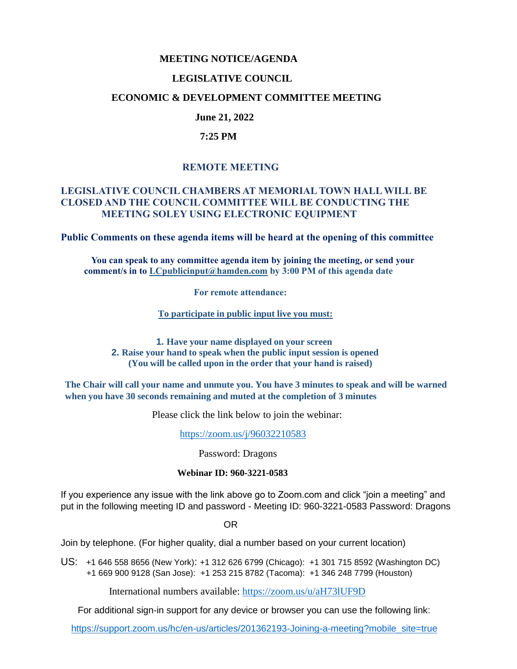## **MEETING NOTICE/AGENDA**

## **LEGISLATIVE COUNCIL**

## **ECONOMIC & DEVELOPMENT COMMITTEE MEETING**

# **June 21, 2022**

## **7:25 PM**

# **REMOTE MEETING**

## **LEGISLATIVE COUNCIL CHAMBERS AT MEMORIAL TOWN HALL WILL BE CLOSED AND THE COUNCIL COMMITTEE WILL BE CONDUCTING THE MEETING SOLEY USING ELECTRONIC EQUIPMENT**

**Public Comments on these agenda items will be heard at the opening of this committee** 

 **You can speak to any committee agenda item by joining the meeting, or send your comment/s in to [LCpublicinput@hamden.com](mailto:LCpublicinput@hamden.com) by 3:00 PM of this agenda date**

 **For remote attendance:**

**To participate in public input live you must:**

**1. Have your name displayed on your screen 2. Raise your hand to speak when the public input session is opened (You will be called upon in the order that your hand is raised)**

**The Chair will call your name and unmute you. You have 3 minutes to speak and will be warned when you have 30 seconds remaining and muted at the completion of 3 minutes**

Please click the link below to join the webinar:

<https://zoom.us/j/96032210583>

Password: Dragons

#### **Webinar ID: 960-3221-0583**

If you experience any issue with the link above go to Zoom.com and click "join a meeting" and put in the following meeting ID and password - Meeting ID: 960-3221-0583 Password: Dragons

OR

Join by telephone. (For higher quality, dial a number based on your current location)

US: [+1 646 558 8656 \(New York\)](tel:+16465588656): [+1 312 626 6799 \(Chicago\):](tel:+13126266799) [+1 301 715 8592 \(Washington DC\)](tel:+13017158592) +1 669 900 9128 (San Jose): [+1 253 215 8782 \(Tacoma\):](tel:+12532158782) [+1 346 248 7799 \(Houston\)](tel:+13462487799)

International numbers available:<https://zoom.us/u/aH73lUF9D>

For additional sign-in support for any device or browser you can use the following link:

[https://support.zoom.us/hc/en-us/articles/201362193-Joining-a-meeting?mobile\\_site=true](https://support.zoom.us/hc/en-us/articles/201362193-Joining-a-meeting?mobile_site=true)